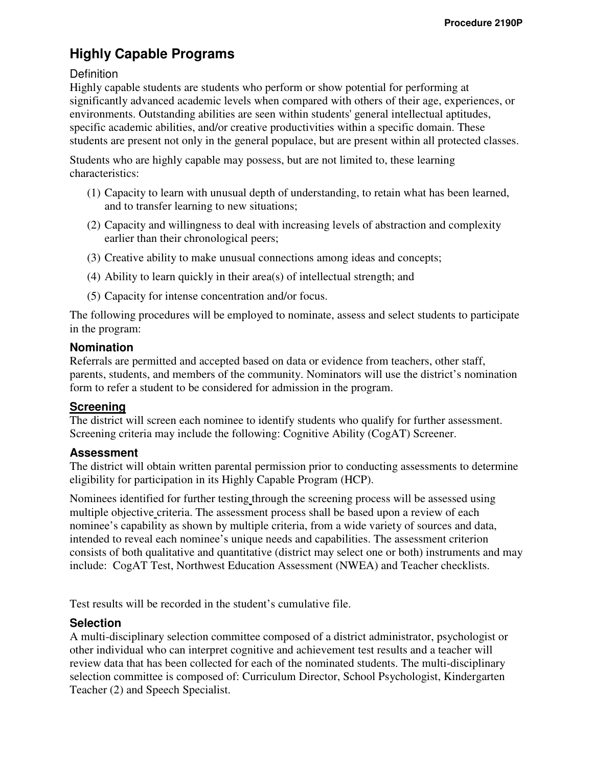# **Highly Capable Programs**

# **Definition**

Highly capable students are students who perform or show potential for performing at significantly advanced academic levels when compared with others of their age, experiences, or environments. Outstanding abilities are seen within students' general intellectual aptitudes, specific academic abilities, and/or creative productivities within a specific domain. These students are present not only in the general populace, but are present within all protected classes.

Students who are highly capable may possess, but are not limited to, these learning characteristics:

- (1) Capacity to learn with unusual depth of understanding, to retain what has been learned, and to transfer learning to new situations;
- (2) Capacity and willingness to deal with increasing levels of abstraction and complexity earlier than their chronological peers;
- (3) Creative ability to make unusual connections among ideas and concepts;
- (4) Ability to learn quickly in their area(s) of intellectual strength; and
- (5) Capacity for intense concentration and/or focus.

The following procedures will be employed to nominate, assess and select students to participate in the program:

#### **Nomination**

Referrals are permitted and accepted based on data or evidence from teachers, other staff, parents, students, and members of the community. Nominators will use the district's nomination form to refer a student to be considered for admission in the program.

#### **Screening**

The district will screen each nominee to identify students who qualify for further assessment. Screening criteria may include the following: Cognitive Ability (CogAT) Screener.

# **Assessment**

The district will obtain written parental permission prior to conducting assessments to determine eligibility for participation in its Highly Capable Program (HCP).

Nominees identified for further testing through the screening process will be assessed using multiple objective criteria. The assessment process shall be based upon a review of each nominee's capability as shown by multiple criteria, from a wide variety of sources and data, intended to reveal each nominee's unique needs and capabilities. The assessment criterion consists of both qualitative and quantitative (district may select one or both) instruments and may include: CogAT Test, Northwest Education Assessment (NWEA) and Teacher checklists.

Test results will be recorded in the student's cumulative file.

## **Selection**

A multi-disciplinary selection committee composed of a district administrator, psychologist or other individual who can interpret cognitive and achievement test results and a teacher will review data that has been collected for each of the nominated students. The multi-disciplinary selection committee is composed of: Curriculum Director, School Psychologist, Kindergarten Teacher (2) and Speech Specialist.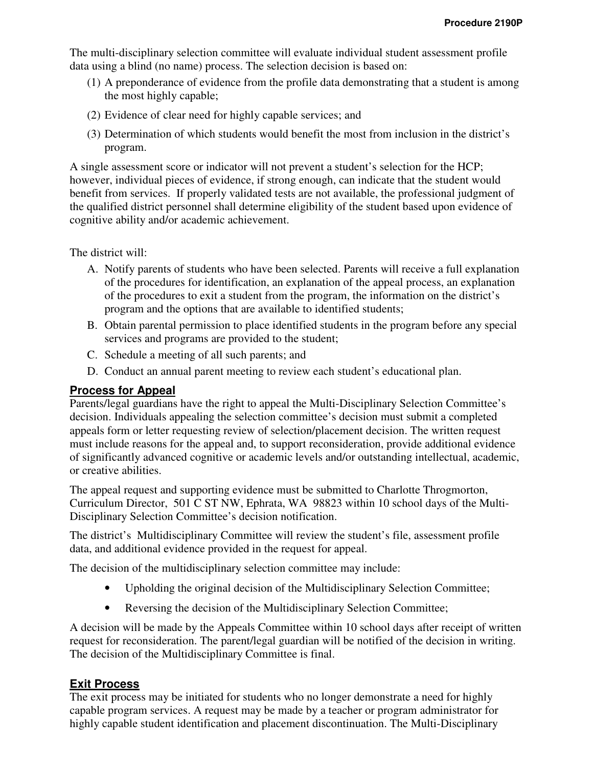The multi-disciplinary selection committee will evaluate individual student assessment profile data using a blind (no name) process. The selection decision is based on:

- (1) A preponderance of evidence from the profile data demonstrating that a student is among the most highly capable;
- (2) Evidence of clear need for highly capable services; and
- (3) Determination of which students would benefit the most from inclusion in the district's program.

A single assessment score or indicator will not prevent a student's selection for the HCP; however, individual pieces of evidence, if strong enough, can indicate that the student would benefit from services. If properly validated tests are not available, the professional judgment of the qualified district personnel shall determine eligibility of the student based upon evidence of cognitive ability and/or academic achievement.

The district will:

- A. Notify parents of students who have been selected. Parents will receive a full explanation of the procedures for identification, an explanation of the appeal process, an explanation of the procedures to exit a student from the program, the information on the district's program and the options that are available to identified students;
- B. Obtain parental permission to place identified students in the program before any special services and programs are provided to the student;
- C. Schedule a meeting of all such parents; and
- D. Conduct an annual parent meeting to review each student's educational plan.

# **Process for Appeal**

Parents/legal guardians have the right to appeal the Multi-Disciplinary Selection Committee's decision. Individuals appealing the selection committee's decision must submit a completed appeals form or letter requesting review of selection/placement decision. The written request must include reasons for the appeal and, to support reconsideration, provide additional evidence of significantly advanced cognitive or academic levels and/or outstanding intellectual, academic, or creative abilities.

The appeal request and supporting evidence must be submitted to Charlotte Throgmorton, Curriculum Director, 501 C ST NW, Ephrata, WA 98823 within 10 school days of the Multi-Disciplinary Selection Committee's decision notification.

The district's Multidisciplinary Committee will review the student's file, assessment profile data, and additional evidence provided in the request for appeal.

The decision of the multidisciplinary selection committee may include:

- Upholding the original decision of the Multidisciplinary Selection Committee;
- Reversing the decision of the Multidisciplinary Selection Committee;

A decision will be made by the Appeals Committee within 10 school days after receipt of written request for reconsideration. The parent/legal guardian will be notified of the decision in writing. The decision of the Multidisciplinary Committee is final.

# **Exit Process**

The exit process may be initiated for students who no longer demonstrate a need for highly capable program services. A request may be made by a teacher or program administrator for highly capable student identification and placement discontinuation. The Multi-Disciplinary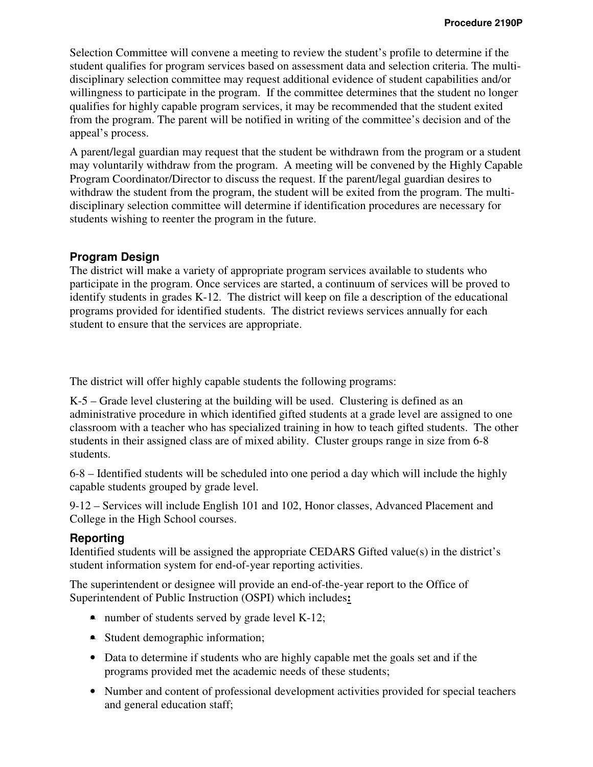Selection Committee will convene a meeting to review the student's profile to determine if the student qualifies for program services based on assessment data and selection criteria. The multidisciplinary selection committee may request additional evidence of student capabilities and/or willingness to participate in the program. If the committee determines that the student no longer qualifies for highly capable program services, it may be recommended that the student exited from the program. The parent will be notified in writing of the committee's decision and of the appeal's process.

A parent/legal guardian may request that the student be withdrawn from the program or a student may voluntarily withdraw from the program. A meeting will be convened by the Highly Capable Program Coordinator/Director to discuss the request. If the parent/legal guardian desires to withdraw the student from the program, the student will be exited from the program. The multidisciplinary selection committee will determine if identification procedures are necessary for students wishing to reenter the program in the future.

#### **Program Design**

The district will make a variety of appropriate program services available to students who participate in the program. Once services are started, a continuum of services will be proved to identify students in grades K-12. The district will keep on file a description of the educational programs provided for identified students. The district reviews services annually for each student to ensure that the services are appropriate.

The district will offer highly capable students the following programs:

K-5 – Grade level clustering at the building will be used. Clustering is defined as an administrative procedure in which identified gifted students at a grade level are assigned to one classroom with a teacher who has specialized training in how to teach gifted students. The other students in their assigned class are of mixed ability. Cluster groups range in size from 6-8 students.

6-8 – Identified students will be scheduled into one period a day which will include the highly capable students grouped by grade level.

9-12 – Services will include English 101 and 102, Honor classes, Advanced Placement and College in the High School courses.

## **Reporting**

Identified students will be assigned the appropriate CEDARS Gifted value(s) in the district's student information system for end-of-year reporting activities.

The superintendent or designee will provide an end-of-the-year report to the Office of Superintendent of Public Instruction (OSPI) which includes**:** 

- number of students served by grade level K-12;
- Student demographic information;
- Data to determine if students who are highly capable met the goals set and if the programs provided met the academic needs of these students;
- Number and content of professional development activities provided for special teachers and general education staff;